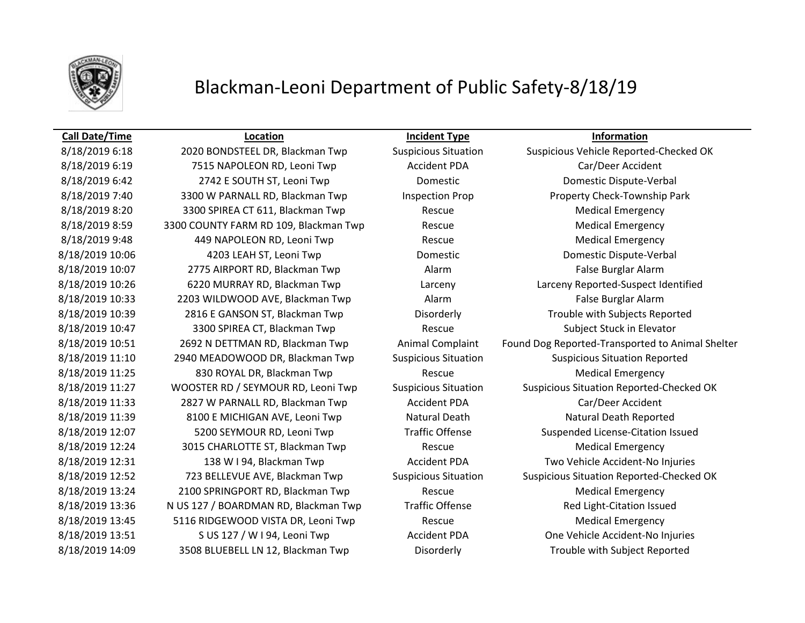

## Blackman-Leoni Department of Public Safety-8/18/19

8/18/2019 6:19 7515 NAPOLEON RD, Leoni Twp Accident PDA Car/Deer Accident 8/18/2019 6:42 **2742 E SOUTH ST, Leoni Twp Domestic Domestic Domestic Dispute-Verbal** 8/18/2019 7:40 3300 W PARNALL RD, Blackman Twp Inspection Prop Property Check-Township Park 8/18/2019 8:20 3300 SPIREA CT 611, Blackman Twp Rescue Medical Emergency 8/18/2019 8:59 3300 COUNTY FARM RD 109, Blackman Twp Rescue Rescue Medical Emergency 8/18/2019 9:48 449 NAPOLEON RD, Leoni Twp Rescue Medical Emergency 8/18/2019 10:06 4203 LEAH ST, Leoni Twp Domestic Domestic Dispute-Verbal 8/18/2019 10:07 2775 AIRPORT RD, Blackman Twp Alarm Alarm False Burglar Alarm 8/18/2019 10:33 2203 WILDWOOD AVE, Blackman Twp Alarm Alarm False Burglar Alarm 8/18/2019 10:39 2816 E GANSON ST, Blackman Twp Disorderly Disorderly Trouble with Subjects Reported 8/18/2019 10:47 3300 SPIREA CT, Blackman Twp Rescue Subject Stuck in Elevator 8/18/2019 11:10 2940 MEADOWOOD DR, Blackman Twp Suspicious Situation Suspicious Situation Reported 8/18/2019 11:25 830 ROYAL DR, Blackman Twp Rescue Medical Emergency 8/18/2019 11:33 2827 W PARNALL RD, Blackman Twp Accident PDA Car/Deer Accident 8/18/2019 11:39 8100 E MICHIGAN AVE, Leoni Twp Natural Death Natural Death Natural Death Reported 8/18/2019 12:24 3015 CHARLOTTE ST, Blackman Twp Rescue Rescue Medical Emergency 8/18/2019 12:31 138 W I 94, Blackman Twp Accident PDA Two Vehicle Accident-No Injuries 8/18/2019 13:24 2100 SPRINGPORT RD, Blackman Twp Rescue Rescue Medical Emergency 8/18/2019 13:36 N US 127 / BOARDMAN RD, Blackman Twp Traffic Offense Red Light-Citation Issued 8/18/2019 13:45 5116 RIDGEWOOD VISTA DR, Leoni Twp Rescue Rescue Medical Emergency 8/18/2019 13:51 S US 127 / W I 94, Leoni Twp Accident PDA One Vehicle Accident-No Injuries 8/18/2019 14:09 3508 BLUEBELL LN 12, Blackman Twp Disorderly Trouble with Subject Reported

**Call Date/Time Location Incident Type Information**

8/18/2019 6:18 2020 BONDSTEEL DR, Blackman Twp Suspicious Situation Suspicious Vehicle Reported-Checked OK 8/18/2019 10:26 6220 MURRAY RD, Blackman Twp Larceny Larceny Reported-Suspect Identified 8/18/2019 10:51 2692 N DETTMAN RD, Blackman Twp Animal Complaint Found Dog Reported-Transported to Animal Shelter 8/18/2019 11:27 WOOSTER RD / SEYMOUR RD, Leoni Twp Suspicious Situation Suspicious Situation Reported-Checked OK 8/18/2019 12:07 5200 SEYMOUR RD, Leoni Twp Traffic Offense Suspended License-Citation Issued 8/18/2019 12:52 723 BELLEVUE AVE, Blackman Twp Suspicious Situation Suspicious Situation Reported-Checked OK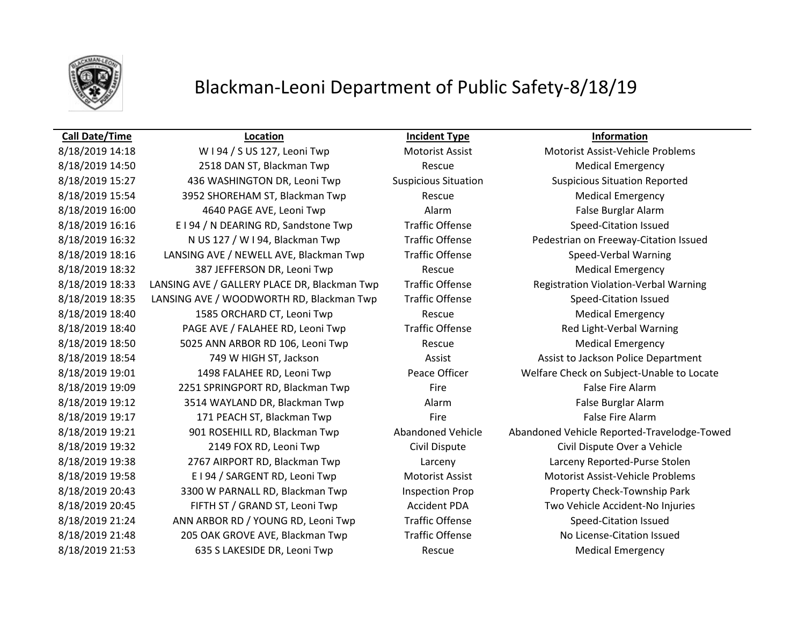

### Blackman-Leoni Department of Public Safety-8/18/19

8/18/2019 14:50 2518 DAN ST, Blackman Twp Rescue Rescue Medical Emergency 8/18/2019 15:27 436 WASHINGTON DR, Leoni Twp Suspicious Situation Suspicious Situation Reported 8/18/2019 15:54 3952 SHOREHAM ST, Blackman Twp Rescue Rescue Medical Emergency 8/18/2019 16:00 4640 PAGE AVE, Leoni Twp Alarm Alarm Ralse Burglar Alarm 8/18/2019 16:16 E I 94 / N DEARING RD, Sandstone Twp Traffic Offense Speed-Citation Issued 8/18/2019 18:16 LANSING AVE / NEWELL AVE, Blackman Twp Traffic Offense Speed-Verbal Warning 8/18/2019 18:32 387 JEFFERSON DR, Leoni Twp Rescue Rescue Medical Emergency 8/18/2019 18:35 LANSING AVE / WOODWORTH RD, Blackman Twp Traffic Offense Speed-Citation Issued 8/18/2019 18:40 1585 ORCHARD CT, Leoni Twp Rescue Rescue Medical Emergency 8/18/2019 18:40 PAGE AVE / FALAHEE RD, Leoni Twp Traffic Offense Red Light-Verbal Warning 8/18/2019 18:50 5025 ANN ARBOR RD 106, Leoni Twp Rescue Rescue Medical Emergency 8/18/2019 18:54 749 W HIGH ST, Jackson Assist Assist Assist to Jackson Police Department 8/18/2019 19:09 2251 SPRINGPORT RD, Blackman Twp Fire Fire Fire False Fire Alarm 8/18/2019 19:12 3514 WAYLAND DR, Blackman Twp Alarm Alarm False Burglar Alarm 8/18/2019 19:17 **171 PEACH ST, Blackman Twp** Fire Fire Fire False Fire Alarm 8/18/2019 19:32 2149 FOX RD, Leoni Twp Civil Dispute Civil Dispute Civil Dispute Over a Vehicle 8/18/2019 19:38 2767 AIRPORT RD, Blackman Twp Larceny Larceny Reported-Purse Stolen 8/18/2019 19:58 E I 94 / SARGENT RD, Leoni Twp Motorist Assist Motorist Assist Motorist Assist-Vehicle Problems 8/18/2019 20:43 3300 W PARNALL RD, Blackman Twp Inspection Prop Property Check-Township Park 8/18/2019 20:45 FIFTH ST / GRAND ST, Leoni Twp Accident PDA Two Vehicle Accident-No Injuries 8/18/2019 21:24 ANN ARBOR RD / YOUNG RD, Leoni Twp Traffic Offense Speed-Citation Issued 8/18/2019 21:48 205 OAK GROVE AVE, Blackman Twp Traffic Offense No License-Citation Issued 8/18/2019 21:53 635 S LAKESIDE DR, Leoni Twp Rescue Rescue Medical Emergency

**Call Date/Time Location Incident Type Information**

8/18/2019 14:18 W I 94 / S US 127, Leoni Twp Motorist Assist Motorist Assist Motorist Assist-Vehicle Problems 8/18/2019 16:32 N US 127 / W I 94, Blackman Twp Traffic Offense Pedestrian on Freeway-Citation Issued 8/18/2019 18:33 LANSING AVE / GALLERY PLACE DR, Blackman Twp Traffic Offense Registration Violation-Verbal Warning 8/18/2019 19:01 1498 FALAHEE RD, Leoni Twp Peace Officer Welfare Check on Subject-Unable to Locate 8/18/2019 19:21 901 ROSEHILL RD, Blackman Twp Abandoned Vehicle Abandoned Vehicle Reported-Travelodge-Towed